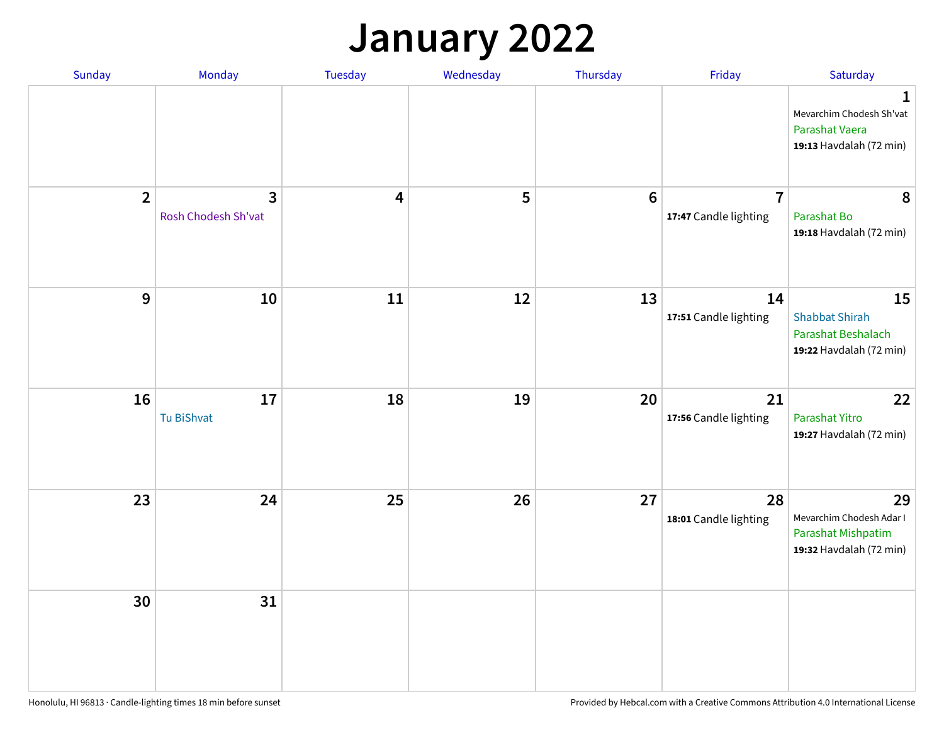## **January 2022**

| Sunday           | Monday                                | <b>Tuesday</b>          | Wednesday | Thursday        | Friday                                  | Saturday                                                                        |
|------------------|---------------------------------------|-------------------------|-----------|-----------------|-----------------------------------------|---------------------------------------------------------------------------------|
|                  |                                       |                         |           |                 |                                         | 1<br>Mevarchim Chodesh Sh'vat<br>Parashat Vaera<br>19:13 Havdalah (72 min)      |
| $\overline{2}$   | $\overline{3}$<br>Rosh Chodesh Sh'vat | $\overline{\mathbf{4}}$ | 5         | $6\phantom{1}6$ | $\overline{7}$<br>17:47 Candle lighting | 8<br>Parashat Bo<br>19:18 Havdalah (72 min)                                     |
| $\boldsymbol{9}$ | ${\bf 10}$                            | 11                      | 12        | 13              | 14<br>17:51 Candle lighting             | 15<br><b>Shabbat Shirah</b><br>Parashat Beshalach<br>19:22 Havdalah (72 min)    |
| 16               | $17\,$<br>Tu BiShvat                  | 18                      | 19        | 20              | 21<br>17:56 Candle lighting             | 22<br>Parashat Yitro<br>19:27 Havdalah (72 min)                                 |
| 23               | 24                                    | 25                      | 26        | 27              | 28<br>18:01 Candle lighting             | 29<br>Mevarchim Chodesh Adar I<br>Parashat Mishpatim<br>19:32 Havdalah (72 min) |
| 30               | 31                                    |                         |           |                 |                                         |                                                                                 |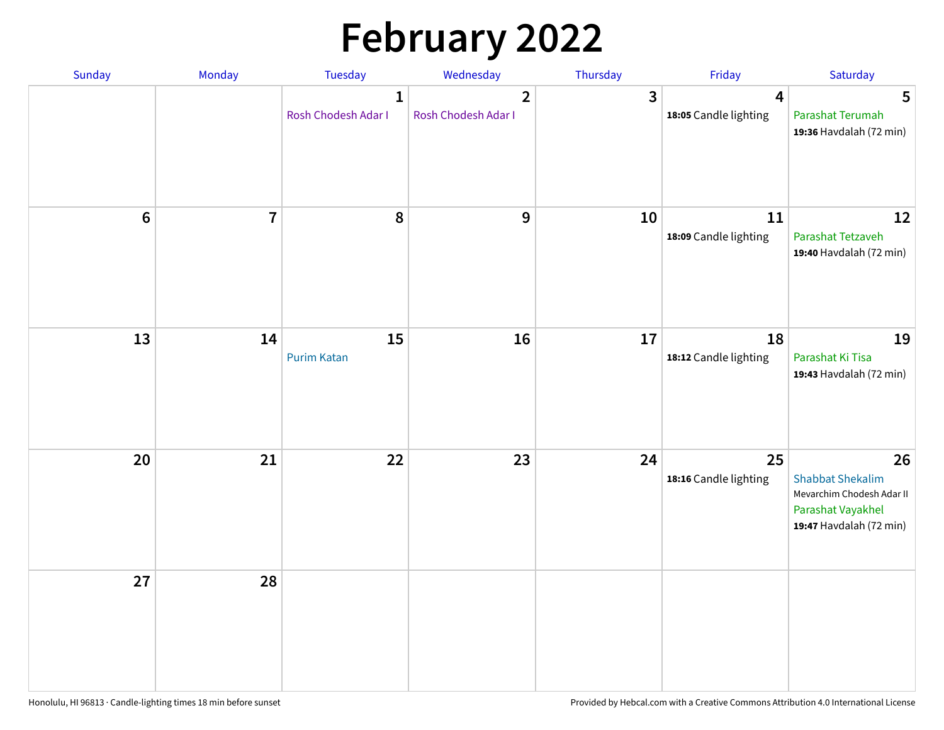# **February 2022**

| Sunday | Monday                  | <b>Tuesday</b>                      | Wednesday                           | Thursday     | Friday                      | Saturday                                                                                                   |
|--------|-------------------------|-------------------------------------|-------------------------------------|--------------|-----------------------------|------------------------------------------------------------------------------------------------------------|
|        |                         | $\mathbf{1}$<br>Rosh Chodesh Adar I | $\mathbf{2}$<br>Rosh Chodesh Adar I | $\mathbf{3}$ | 4<br>18:05 Candle lighting  | 5<br>Parashat Terumah<br>19:36 Havdalah (72 min)                                                           |
| $6\,$  | $\overline{\mathbf{7}}$ | 8                                   | 9                                   | 10           | 11<br>18:09 Candle lighting | 12<br>Parashat Tetzaveh<br>19:40 Havdalah (72 min)                                                         |
| 13     | 14                      | 15<br><b>Purim Katan</b>            | 16                                  | 17           | 18<br>18:12 Candle lighting | 19<br>Parashat Ki Tisa<br>19:43 Havdalah (72 min)                                                          |
| 20     | 21                      | 22                                  | 23                                  | 24           | 25<br>18:16 Candle lighting | 26<br><b>Shabbat Shekalim</b><br>Mevarchim Chodesh Adar II<br>Parashat Vayakhel<br>19:47 Havdalah (72 min) |
| 27     | 28                      |                                     |                                     |              |                             |                                                                                                            |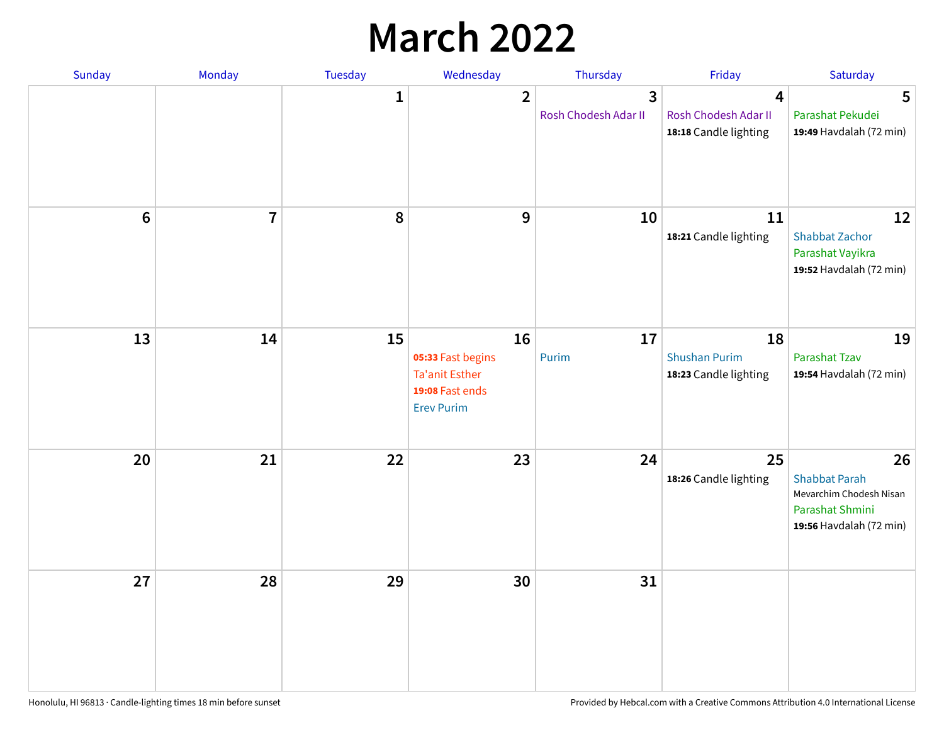## **March 2022**

| Sunday         | Monday         | <b>Tuesday</b> | Wednesday                                                                                | Thursday                  | Friday                                              | Saturday                                                                                            |
|----------------|----------------|----------------|------------------------------------------------------------------------------------------|---------------------------|-----------------------------------------------------|-----------------------------------------------------------------------------------------------------|
|                |                | $\mathbf{1}$   | $\overline{2}$                                                                           | 3<br>Rosh Chodesh Adar II | 4<br>Rosh Chodesh Adar II<br>18:18 Candle lighting  | 5<br>Parashat Pekudei<br>19:49 Havdalah (72 min)                                                    |
| $6\phantom{1}$ | $\overline{7}$ | 8              | 9                                                                                        | 10                        | 11<br>18:21 Candle lighting                         | 12<br><b>Shabbat Zachor</b><br>Parashat Vayikra<br>19:52 Havdalah (72 min)                          |
| 13             | 14             | 15             | 16<br>05:33 Fast begins<br><b>Ta'anit Esther</b><br>19:08 Fast ends<br><b>Erev Purim</b> | 17<br>Purim               | 18<br><b>Shushan Purim</b><br>18:23 Candle lighting | 19<br>Parashat Tzav<br>19:54 Havdalah (72 min)                                                      |
| 20             | 21             | 22             | 23                                                                                       | 24                        | 25<br>18:26 Candle lighting                         | 26<br><b>Shabbat Parah</b><br>Mevarchim Chodesh Nisan<br>Parashat Shmini<br>19:56 Havdalah (72 min) |
| 27             | 28             | 29             | 30                                                                                       | 31                        |                                                     |                                                                                                     |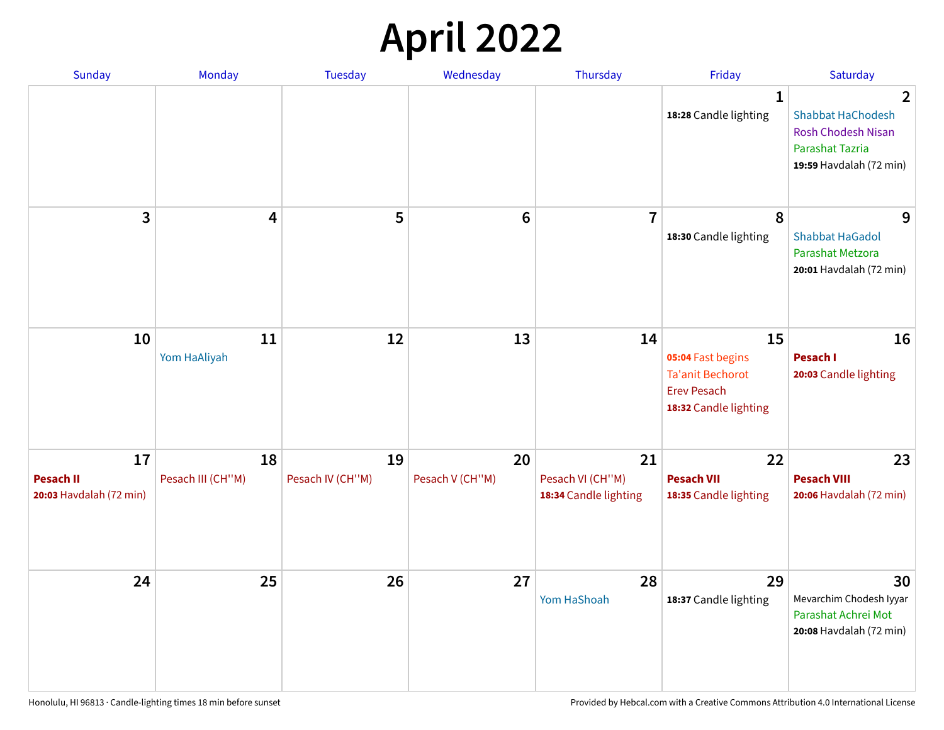## **April 2022**

| <b>Sunday</b>                                     | Monday                  | <b>Tuesday</b>         | Wednesday             | Thursday                                        | Friday                                                                                            | Saturday                                                                                                                     |
|---------------------------------------------------|-------------------------|------------------------|-----------------------|-------------------------------------------------|---------------------------------------------------------------------------------------------------|------------------------------------------------------------------------------------------------------------------------------|
|                                                   |                         |                        |                       |                                                 | 1<br>18:28 Candle lighting                                                                        | $\overline{2}$<br><b>Shabbat HaChodesh</b><br><b>Rosh Chodesh Nisan</b><br><b>Parashat Tazria</b><br>19:59 Havdalah (72 min) |
| 3                                                 | 4                       | 5                      | $\bf 6$               | $\overline{7}$                                  | 8<br>18:30 Candle lighting                                                                        | 9<br><b>Shabbat HaGadol</b><br>Parashat Metzora<br>20:01 Havdalah (72 min)                                                   |
| 10                                                | 11<br>Yom HaAliyah      | 12                     | 13                    | 14                                              | 15<br>05:04 Fast begins<br><b>Ta'anit Bechorot</b><br><b>Erev Pesach</b><br>18:32 Candle lighting | 16<br>Pesach I<br>20:03 Candle lighting                                                                                      |
| 17<br><b>Pesach II</b><br>20:03 Havdalah (72 min) | 18<br>Pesach III (CH"M) | 19<br>Pesach IV (CH"M) | 20<br>Pesach V (CH"M) | 21<br>Pesach VI (CH"M)<br>18:34 Candle lighting | 22<br><b>Pesach VII</b><br>18:35 Candle lighting                                                  | 23<br><b>Pesach VIII</b><br>20:06 Havdalah (72 min)                                                                          |
| 24                                                | 25                      | 26                     | 27                    | 28<br>Yom HaShoah                               | 29<br>18:37 Candle lighting                                                                       | 30<br>Mevarchim Chodesh Iyyar<br>Parashat Achrei Mot<br>20:08 Havdalah (72 min)                                              |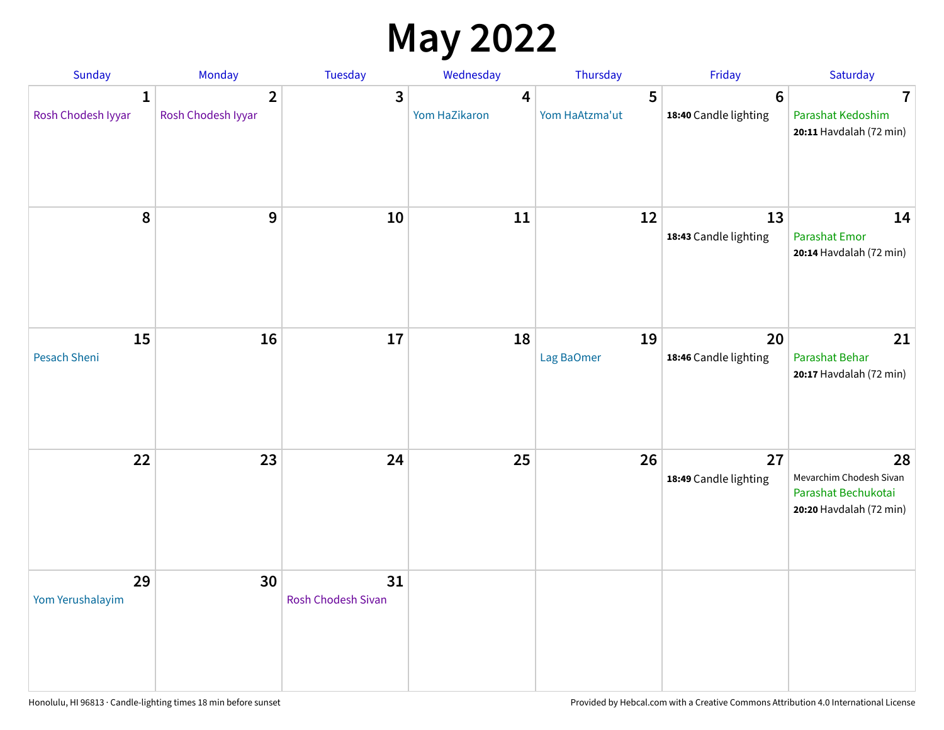## **May 2022**

| Sunday                             | Monday                               | Tuesday                         | Wednesday          | Thursday            | Friday                                   | Saturday                                                                        |
|------------------------------------|--------------------------------------|---------------------------------|--------------------|---------------------|------------------------------------------|---------------------------------------------------------------------------------|
| $\mathbf{1}$<br>Rosh Chodesh Iyyar | $\overline{2}$<br>Rosh Chodesh Iyyar | 3                               | 4<br>Yom HaZikaron | 5<br>Yom HaAtzma'ut | $6\phantom{1}6$<br>18:40 Candle lighting | 7<br>Parashat Kedoshim<br>20:11 Havdalah (72 min)                               |
| 8                                  | 9                                    | 10                              | 11                 | 12                  | 13<br>18:43 Candle lighting              | 14<br><b>Parashat Emor</b><br>20:14 Havdalah (72 min)                           |
| 15<br>Pesach Sheni                 | 16                                   | 17                              | 18                 | 19<br>Lag BaOmer    | 20<br>18:46 Candle lighting              | 21<br>Parashat Behar<br>20:17 Havdalah (72 min)                                 |
| 22                                 | 23                                   | 24                              | 25                 | 26                  | 27<br>18:49 Candle lighting              | 28<br>Mevarchim Chodesh Sivan<br>Parashat Bechukotai<br>20:20 Havdalah (72 min) |
| 29<br>Yom Yerushalayim             | 30                                   | 31<br><b>Rosh Chodesh Sivan</b> |                    |                     |                                          |                                                                                 |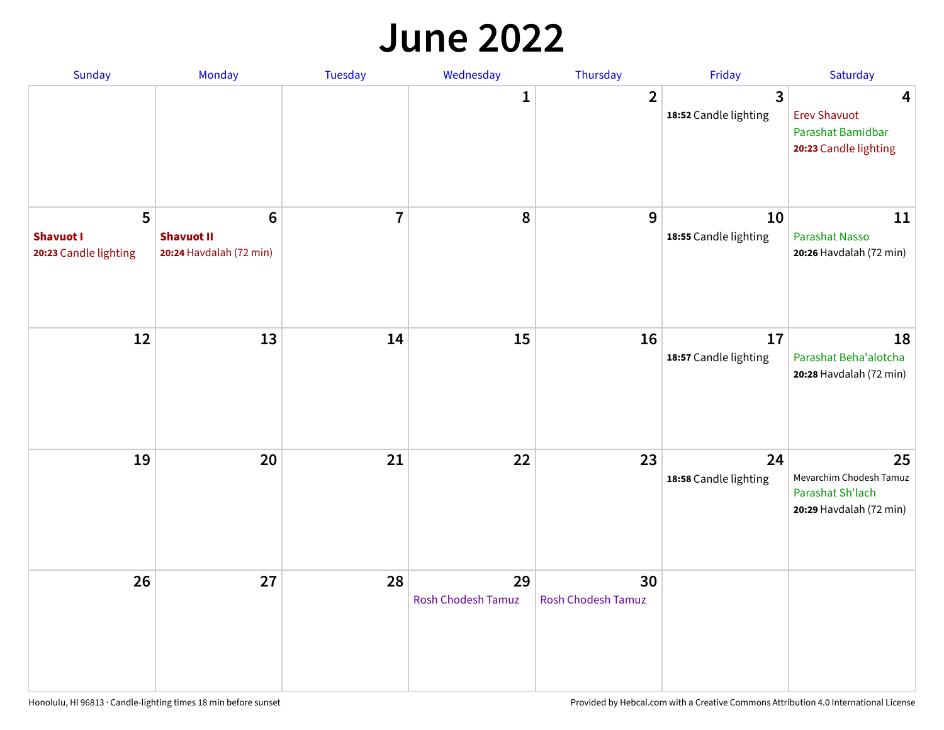#### **June 2022**

| Sunday                                                      | Monday                                            | Tuesday        | Wednesday                       | Thursday                        | Friday                      | Saturday                                                                     |
|-------------------------------------------------------------|---------------------------------------------------|----------------|---------------------------------|---------------------------------|-----------------------------|------------------------------------------------------------------------------|
|                                                             |                                                   |                | 1                               | $\overline{2}$                  | 3<br>18:52 Candle lighting  | 4<br><b>Erev Shavuot</b><br>Parashat Bamidbar<br>20:23 Candle lighting       |
| $5\phantom{a}$<br><b>Shavuot I</b><br>20:23 Candle lighting | 6<br><b>Shavuot II</b><br>20:24 Havdalah (72 min) | $\overline{7}$ | 8                               | 9                               | 10<br>18:55 Candle lighting | 11<br>Parashat Nasso<br>20:26 Havdalah (72 min)                              |
| 12                                                          | 13                                                | 14             | 15                              | 16                              | 17<br>18:57 Candle lighting | 18<br>Parashat Beha'alotcha<br>20:28 Havdalah (72 min)                       |
| 19                                                          | 20                                                | 21             | 22                              | 23                              | 24<br>18:58 Candle lighting | 25<br>Mevarchim Chodesh Tamuz<br>Parashat Sh'lach<br>20:29 Havdalah (72 min) |
| 26                                                          | 27                                                | 28             | 29<br><b>Rosh Chodesh Tamuz</b> | 30<br><b>Rosh Chodesh Tamuz</b> |                             |                                                                              |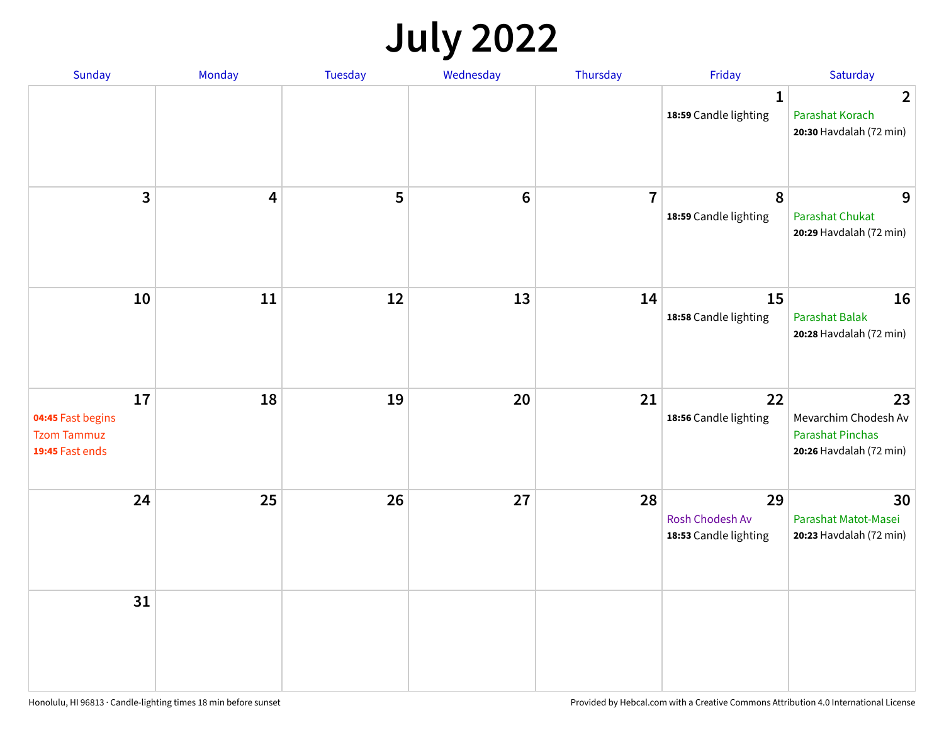## **July 2022**

| Sunday                                                           | Monday | Tuesday | Wednesday      | Thursday       | Friday                                         | Saturday                                                                         |
|------------------------------------------------------------------|--------|---------|----------------|----------------|------------------------------------------------|----------------------------------------------------------------------------------|
|                                                                  |        |         |                |                | $\mathbf{1}$<br>18:59 Candle lighting          | $\overline{2}$<br>Parashat Korach<br>20:30 Havdalah (72 min)                     |
| $\overline{\mathbf{3}}$                                          | 4      | 5       | $6\phantom{1}$ | $\overline{7}$ | 8<br>18:59 Candle lighting                     | 9<br><b>Parashat Chukat</b><br>20:29 Havdalah (72 min)                           |
| 10                                                               | 11     | 12      | 13             | 14             | 15<br>18:58 Candle lighting                    | 16<br><b>Parashat Balak</b><br>20:28 Havdalah (72 min)                           |
| 17<br>04:45 Fast begins<br><b>Tzom Tammuz</b><br>19:45 Fast ends | 18     | 19      | 20             | 21             | 22<br>18:56 Candle lighting                    | 23<br>Mevarchim Chodesh Av<br><b>Parashat Pinchas</b><br>20:26 Havdalah (72 min) |
| 24                                                               | 25     | 26      | 27             | 28             | 29<br>Rosh Chodesh Av<br>18:53 Candle lighting | 30<br>Parashat Matot-Masei<br>20:23 Havdalah (72 min)                            |
| 31                                                               |        |         |                |                |                                                |                                                                                  |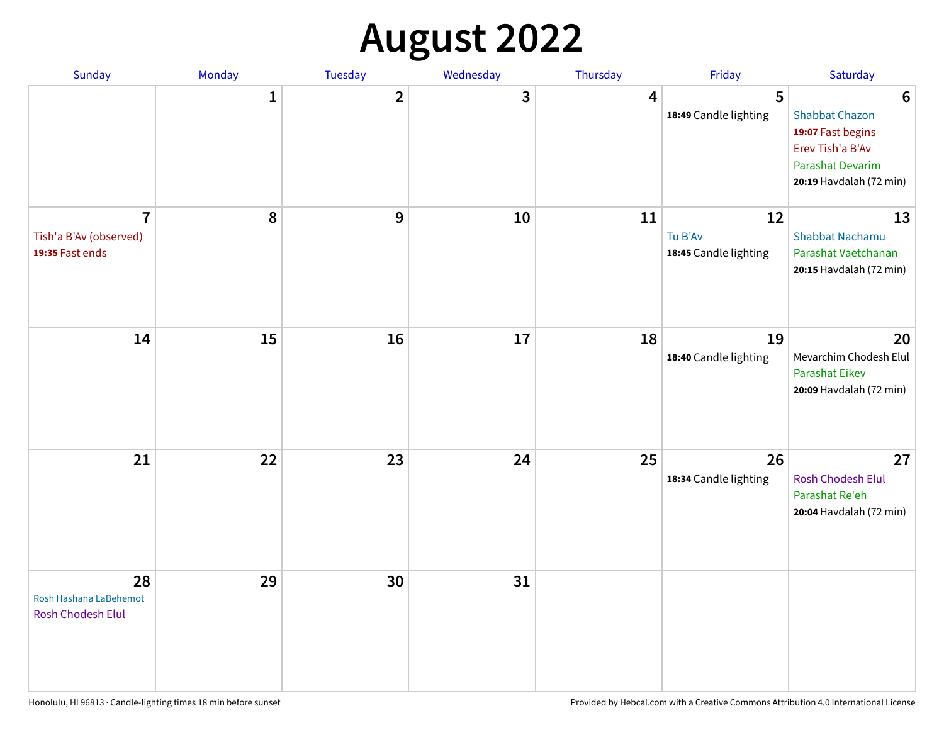## **August 2022**

| Sunday                                                      | Monday       | Tuesday                 | Wednesday | Thursday | Friday                                 | Saturday                                                                                                                         |
|-------------------------------------------------------------|--------------|-------------------------|-----------|----------|----------------------------------------|----------------------------------------------------------------------------------------------------------------------------------|
|                                                             | $\mathbf{1}$ | $\overline{\mathbf{2}}$ | 3         | 4        | 5<br>18:49 Candle lighting             | $6\phantom{1}6$<br><b>Shabbat Chazon</b><br>19:07 Fast begins<br>Erev Tish'a B'Av<br>Parashat Devarim<br>20:19 Havdalah (72 min) |
| $\overline{1}$<br>Tish'a B'Av (observed)<br>19:35 Fast ends | 8            | 9                       | 10        | 11       | 12<br>Tu B'Av<br>18:45 Candle lighting | 13<br><b>Shabbat Nachamu</b><br>Parashat Vaetchanan<br>20:15 Havdalah (72 min)                                                   |
| 14                                                          | 15           | 16                      | 17        | 18       | 19<br>18:40 Candle lighting            | 20<br>Mevarchim Chodesh Elul<br><b>Parashat Eikev</b><br>20:09 Havdalah (72 min)                                                 |
| 21                                                          | 22           | 23                      | 24        | 25       | 26<br>18:34 Candle lighting            | 27<br><b>Rosh Chodesh Elul</b><br>Parashat Re'eh<br>20:04 Havdalah (72 min)                                                      |
| 28<br>Rosh Hashana LaBehemot<br>Rosh Chodesh Elul           | 29           | 30                      | 31        |          |                                        |                                                                                                                                  |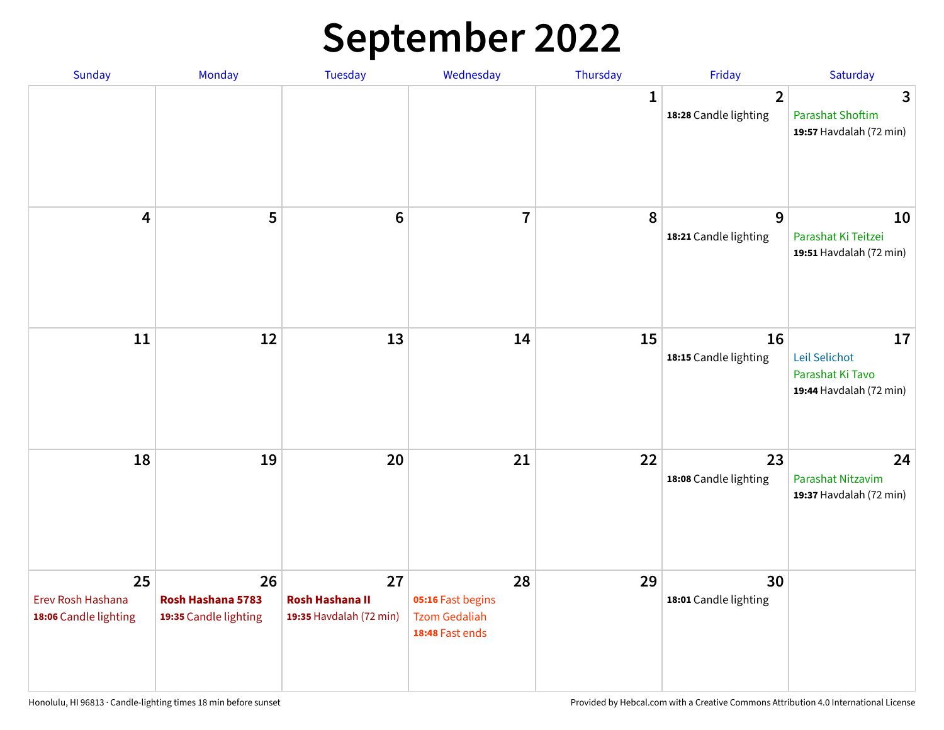## **September 2022**

| Sunday                                           | Monday                                           | <b>Tuesday</b>                                          | Wednesday                                                          | Thursday     | Friday                                | Saturday                                                           |
|--------------------------------------------------|--------------------------------------------------|---------------------------------------------------------|--------------------------------------------------------------------|--------------|---------------------------------------|--------------------------------------------------------------------|
|                                                  |                                                  |                                                         |                                                                    | $\mathbf{1}$ | $\mathbf{2}$<br>18:28 Candle lighting | 3<br><b>Parashat Shoftim</b><br>19:57 Havdalah (72 min)            |
| 4                                                | 5                                                | $\bf 6$                                                 | $\overline{\mathbf{I}}$                                            | 8            | 9<br>18:21 Candle lighting            | 10<br>Parashat Ki Teitzei<br>19:51 Havdalah (72 min)               |
| 11                                               | 12                                               | 13                                                      | 14                                                                 | 15           | 16<br>18:15 Candle lighting           | 17<br>Leil Selichot<br>Parashat Ki Tavo<br>19:44 Havdalah (72 min) |
| 18                                               | 19                                               | 20                                                      | 21                                                                 | 22           | 23<br>18:08 Candle lighting           | 24<br>Parashat Nitzavim<br>19:37 Havdalah (72 min)                 |
| 25<br>Erev Rosh Hashana<br>18:06 Candle lighting | 26<br>Rosh Hashana 5783<br>19:35 Candle lighting | 27<br><b>Rosh Hashana II</b><br>19:35 Havdalah (72 min) | 28<br>05:16 Fast begins<br><b>Tzom Gedaliah</b><br>18:48 Fast ends | 29           | 30<br>18:01 Candle lighting           |                                                                    |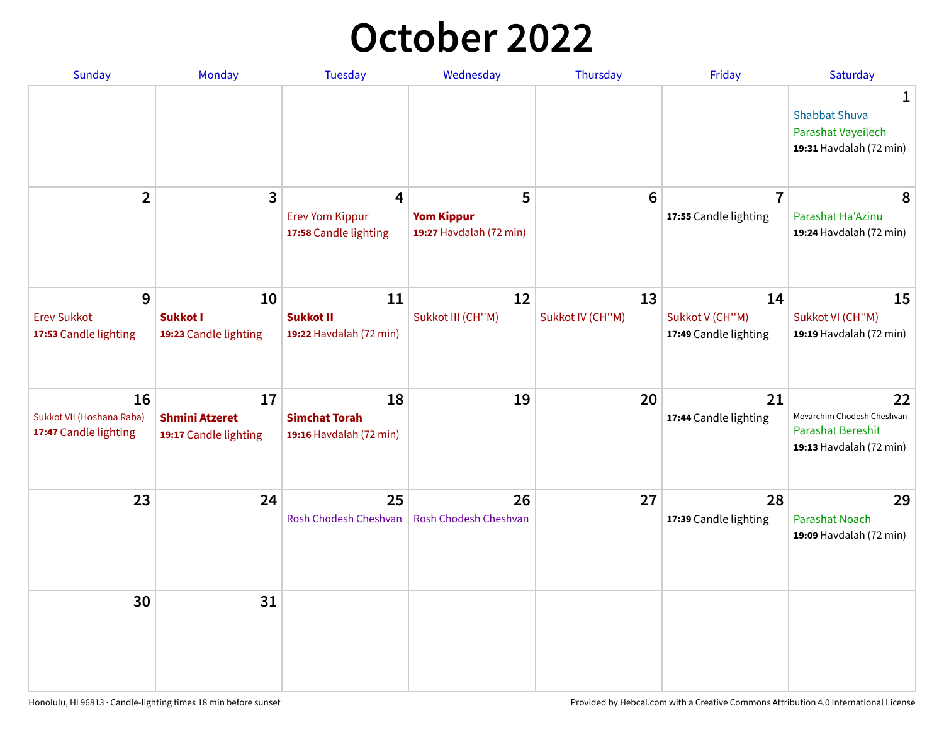## **October 2022**

| Sunday                                                   | Monday                                               | <b>Tuesday</b>                                        | Wednesday                                         | Thursday               | Friday                                         | Saturday                                                                         |
|----------------------------------------------------------|------------------------------------------------------|-------------------------------------------------------|---------------------------------------------------|------------------------|------------------------------------------------|----------------------------------------------------------------------------------|
|                                                          |                                                      |                                                       |                                                   |                        |                                                | 1<br><b>Shabbat Shuva</b><br>Parashat Vayeilech<br>19:31 Havdalah (72 min)       |
| $\overline{2}$                                           | $\overline{\mathbf{3}}$                              | 4<br><b>Erev Yom Kippur</b><br>17:58 Candle lighting  | 5<br><b>Yom Kippur</b><br>19:27 Havdalah (72 min) | 6                      | $\overline{7}$<br>17:55 Candle lighting        | 8<br>Parashat Ha'Azinu<br>19:24 Havdalah (72 min)                                |
| 9<br><b>Erev Sukkot</b><br>17:53 Candle lighting         | 10<br><b>Sukkot I</b><br>19:23 Candle lighting       | 11<br><b>Sukkot II</b><br>19:22 Havdalah (72 min)     | 12<br>Sukkot III (CH"M)                           | 13<br>Sukkot IV (CH"M) | 14<br>Sukkot V (CH"M)<br>17:49 Candle lighting | 15<br>Sukkot VI (CH"M)<br>19:19 Havdalah (72 min)                                |
| 16<br>Sukkot VII (Hoshana Raba)<br>17:47 Candle lighting | 17<br><b>Shmini Atzeret</b><br>19:17 Candle lighting | 18<br><b>Simchat Torah</b><br>19:16 Havdalah (72 min) | 19                                                | 20                     | 21<br>17:44 Candle lighting                    | 22<br>Mevarchim Chodesh Cheshvan<br>Parashat Bereshit<br>19:13 Havdalah (72 min) |
| 23                                                       | 24                                                   | 25<br>Rosh Chodesh Cheshvan                           | 26<br>Rosh Chodesh Cheshvan                       | 27                     | 28<br>17:39 Candle lighting                    | 29<br><b>Parashat Noach</b><br>19:09 Havdalah (72 min)                           |
| 30                                                       | 31                                                   |                                                       |                                                   |                        |                                                |                                                                                  |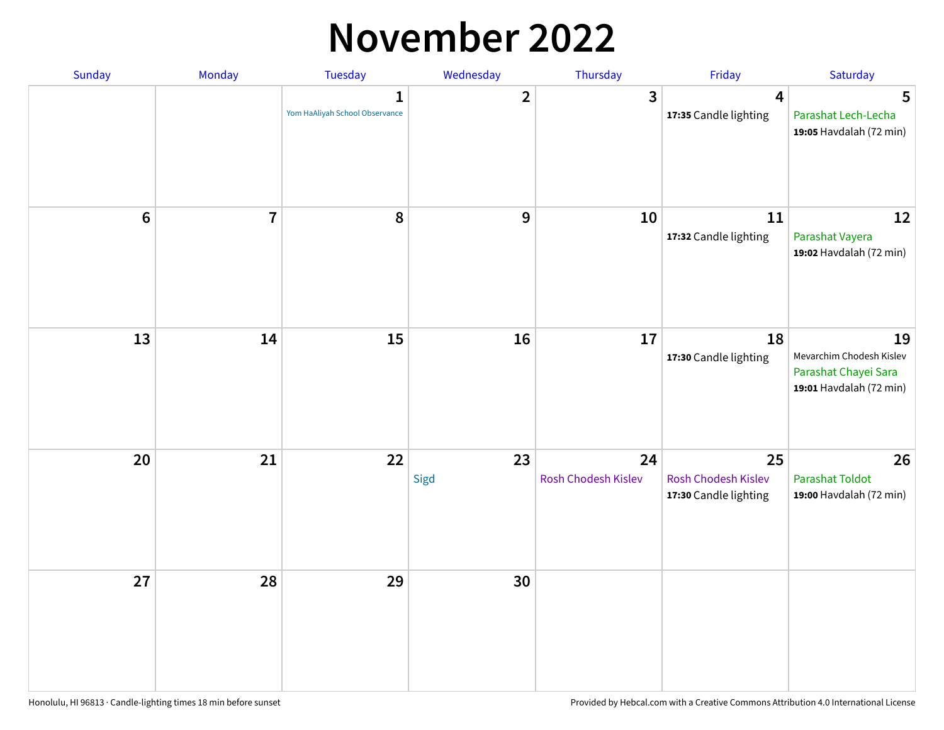#### **November 2022**

| Sunday         | Monday         | Tuesday                             | Wednesday      | Thursday                  | Friday                                             | Saturday                                                                          |
|----------------|----------------|-------------------------------------|----------------|---------------------------|----------------------------------------------------|-----------------------------------------------------------------------------------|
|                |                | 1<br>Yom HaAliyah School Observance | $\overline{2}$ | $\mathbf{3}$              | 4<br>17:35 Candle lighting                         | 5<br>Parashat Lech-Lecha<br>19:05 Havdalah (72 min)                               |
| $6\phantom{a}$ | $\overline{7}$ | 8                                   | 9              | 10                        | 11<br>17:32 Candle lighting                        | 12<br>Parashat Vayera<br>19:02 Havdalah (72 min)                                  |
| 13             | 14             | 15                                  | 16             | 17                        | 18<br>17:30 Candle lighting                        | 19<br>Mevarchim Chodesh Kislev<br>Parashat Chayei Sara<br>19:01 Havdalah (72 min) |
| 20             | 21             | 22                                  | 23<br>Sigd     | 24<br>Rosh Chodesh Kislev | 25<br>Rosh Chodesh Kislev<br>17:30 Candle lighting | 26<br><b>Parashat Toldot</b><br>19:00 Havdalah (72 min)                           |
| 27             | 28             | 29                                  | 30             |                           |                                                    |                                                                                   |